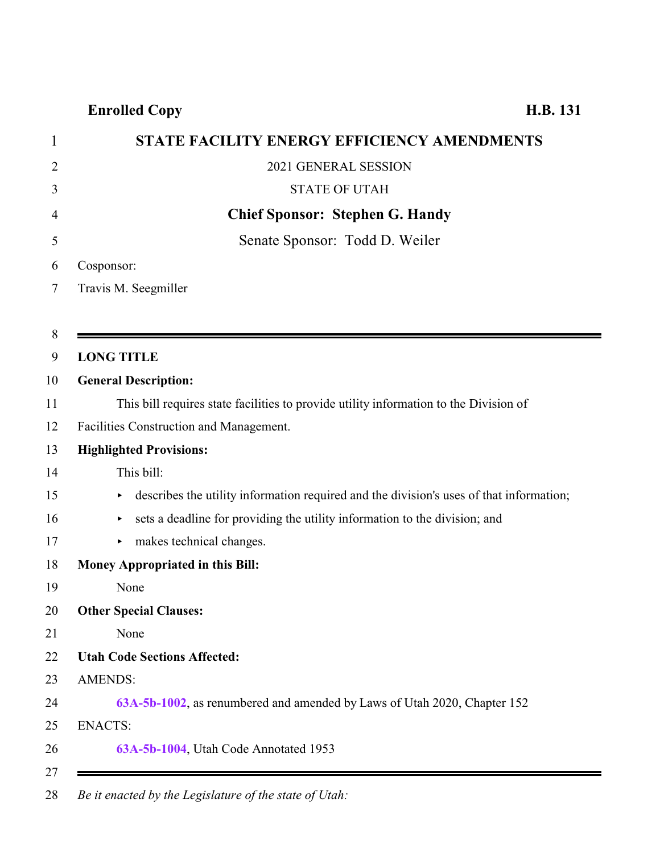# **Enrolled Copy H.B. 131**

|                | STATE FACILITY ENERGY EFFICIENCY AMENDMENTS                                                  |
|----------------|----------------------------------------------------------------------------------------------|
| $\overline{2}$ | 2021 GENERAL SESSION                                                                         |
| 3              | <b>STATE OF UTAH</b>                                                                         |
| 4              | <b>Chief Sponsor: Stephen G. Handy</b>                                                       |
| 5              | Senate Sponsor: Todd D. Weiler                                                               |
| 6              | Cosponsor:                                                                                   |
| 7              | Travis M. Seegmiller                                                                         |
|                |                                                                                              |
| $8\,$          |                                                                                              |
| 9              | <b>LONG TITLE</b>                                                                            |
| 10             | <b>General Description:</b>                                                                  |
|                | This bill requires state facilities to provide utility information to the Division of        |
| 12             | Facilities Construction and Management.                                                      |
| 13             | <b>Highlighted Provisions:</b>                                                               |
| 14             | This bill:                                                                                   |
| 15             | describes the utility information required and the division's uses of that information;<br>▶ |
| 16             | sets a deadline for providing the utility information to the division; and<br>▶              |
| 17             | makes technical changes.<br>►                                                                |
| 18             | Money Appropriated in this Bill:                                                             |
| 19             | None                                                                                         |
| 20             | <b>Other Special Clauses:</b>                                                                |
|                | None                                                                                         |
| 22             | <b>Utah Code Sections Affected:</b>                                                          |
| 23             | <b>AMENDS:</b>                                                                               |
| 24             | 63A-5b-1002, as renumbered and amended by Laws of Utah 2020, Chapter 152                     |
| 25             | <b>ENACTS:</b>                                                                               |
| 26             | 63A-5b-1004, Utah Code Annotated 1953                                                        |

*Be it enacted by the Legislature of the state of Utah:*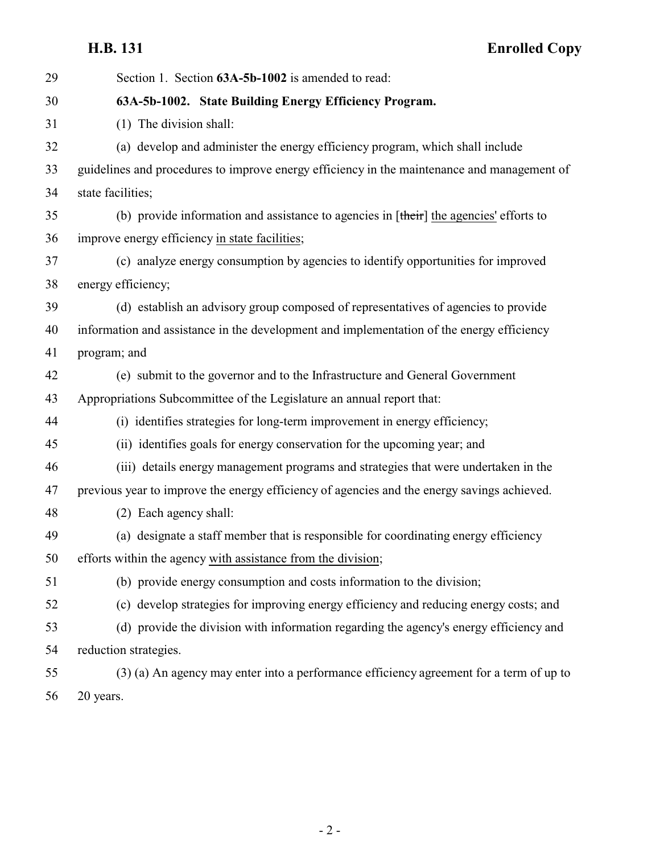<span id="page-1-0"></span>**H.B. 131 Enrolled Copy**

| 29 | Section 1. Section 63A-5b-1002 is amended to read:                                              |
|----|-------------------------------------------------------------------------------------------------|
| 30 | 63A-5b-1002. State Building Energy Efficiency Program.                                          |
| 31 | (1) The division shall:                                                                         |
| 32 | (a) develop and administer the energy efficiency program, which shall include                   |
| 33 | guidelines and procedures to improve energy efficiency in the maintenance and management of     |
| 34 | state facilities;                                                                               |
| 35 | (b) provide information and assistance to agencies in $[\text{their}]$ the agencies' efforts to |
| 36 | improve energy efficiency in state facilities;                                                  |
| 37 | (c) analyze energy consumption by agencies to identify opportunities for improved               |
| 38 | energy efficiency;                                                                              |
| 39 | (d) establish an advisory group composed of representatives of agencies to provide              |
| 40 | information and assistance in the development and implementation of the energy efficiency       |
| 41 | program; and                                                                                    |
| 42 | (e) submit to the governor and to the Infrastructure and General Government                     |
| 43 | Appropriations Subcommittee of the Legislature an annual report that:                           |
| 44 | (i) identifies strategies for long-term improvement in energy efficiency;                       |
| 45 | (ii) identifies goals for energy conservation for the upcoming year; and                        |
| 46 | (iii) details energy management programs and strategies that were undertaken in the             |
| 47 | previous year to improve the energy efficiency of agencies and the energy savings achieved.     |
| 48 | (2) Each agency shall:                                                                          |
| 49 | (a) designate a staff member that is responsible for coordinating energy efficiency             |
| 50 | efforts within the agency with assistance from the division;                                    |
| 51 | (b) provide energy consumption and costs information to the division;                           |
| 52 | (c) develop strategies for improving energy efficiency and reducing energy costs; and           |
| 53 | (d) provide the division with information regarding the agency's energy efficiency and          |
| 54 | reduction strategies.                                                                           |
| 55 | (3) (a) An agency may enter into a performance efficiency agreement for a term of up to         |
| 56 | 20 years.                                                                                       |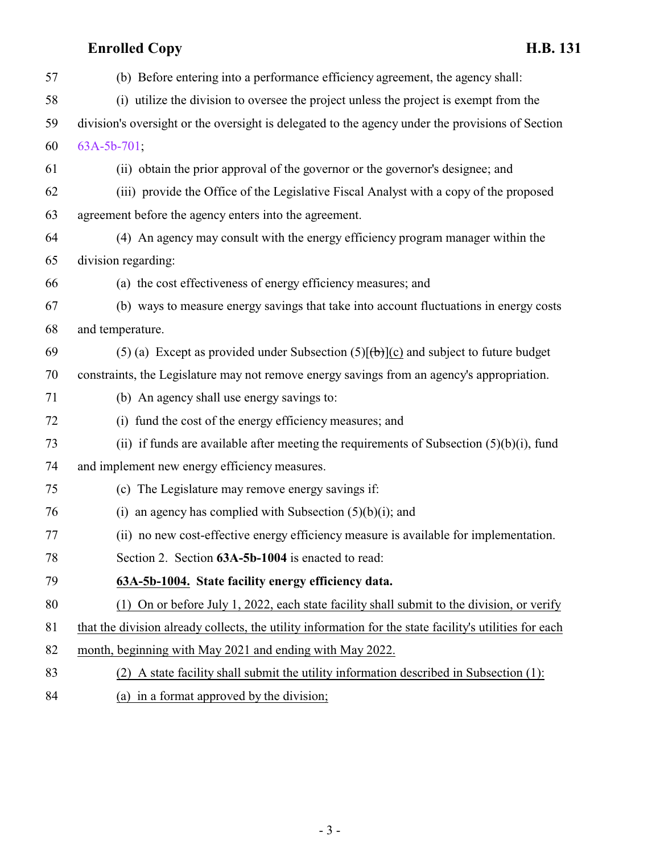# **Enrolled Copy H.B. 131**

| 57 | (b) Before entering into a performance efficiency agreement, the agency shall:                          |
|----|---------------------------------------------------------------------------------------------------------|
| 58 | (i) utilize the division to oversee the project unless the project is exempt from the                   |
| 59 | division's oversight or the oversight is delegated to the agency under the provisions of Section        |
| 60 | 63A-5b-701;                                                                                             |
| 61 | (ii) obtain the prior approval of the governor or the governor's designee; and                          |
| 62 | (iii) provide the Office of the Legislative Fiscal Analyst with a copy of the proposed                  |
| 63 | agreement before the agency enters into the agreement.                                                  |
| 64 | (4) An agency may consult with the energy efficiency program manager within the                         |
| 65 | division regarding:                                                                                     |
| 66 | (a) the cost effectiveness of energy efficiency measures; and                                           |
| 67 | (b) ways to measure energy savings that take into account fluctuations in energy costs                  |
| 68 | and temperature.                                                                                        |
| 69 | (5) (a) Except as provided under Subsection (5) $[\theta$ )(c) and subject to future budget             |
| 70 | constraints, the Legislature may not remove energy savings from an agency's appropriation.              |
| 71 | (b) An agency shall use energy savings to:                                                              |
| 72 | (i) fund the cost of the energy efficiency measures; and                                                |
| 73 | (ii) if funds are available after meeting the requirements of Subsection $(5)(b)(i)$ , fund             |
| 74 | and implement new energy efficiency measures.                                                           |
| 75 | (c) The Legislature may remove energy savings if:                                                       |
| 76 | (i) an agency has complied with Subsection $(5)(b)(i)$ ; and                                            |
| 77 | (ii) no new cost-effective energy efficiency measure is available for implementation.                   |
| 78 | Section 2. Section 63A-5b-1004 is enacted to read:                                                      |
| 79 | 63A-5b-1004. State facility energy efficiency data.                                                     |
| 80 | (1) On or before July 1, 2022, each state facility shall submit to the division, or verify              |
| 81 | that the division already collects, the utility information for the state facility's utilities for each |
| 82 | month, beginning with May 2021 and ending with May 2022.                                                |
| 83 | (2) A state facility shall submit the utility information described in Subsection (1):                  |
|    |                                                                                                         |

<span id="page-2-0"></span>84 (a) in a format approved by the division;